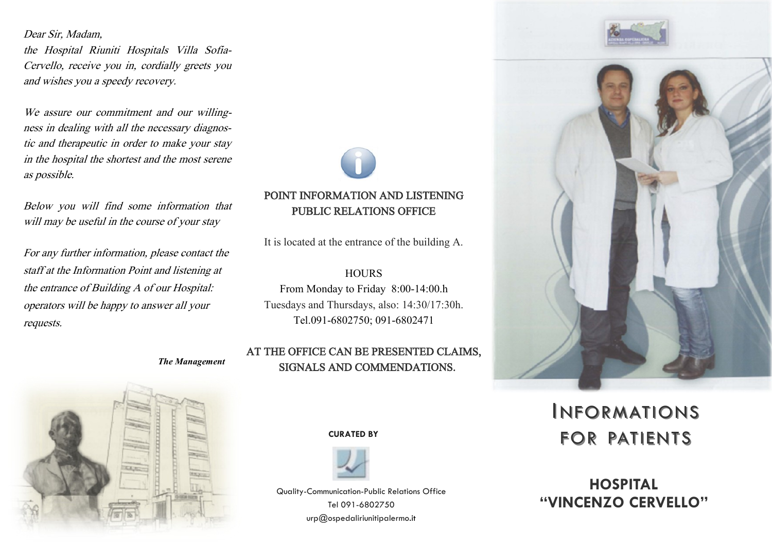#### Dear Sir, Madam,

the Hospital Riuniti Hospitals Villa Sofia-Cervello, receive you in, cordially greets you and wishes you a speedy recovery.

We assure our commitment and our willingness in dealing with all the necessary diagnostic and therapeutic in order to make your stay in the hospital the shortest and the most serene as possible.

Below you will find some information that will may be useful in the course of your stay

For any further information, please contact the staff at the Information Point and listening at the entrance of Building A of our Hospital: operators will be happy to answer all your requests.

*The Management*



# POINT INFORMATION AND LISTENING PUBLIC RELATIONS OFFICE

It is located at the entrance of the building A.

#### **HOURS** From Monday to Friday 8:00-14:00.h

Tuesdays and Thursdays, also: 14:30/17:30h. Tel.091-6802750; 091-6802471

# AT THE OFFICE CAN BE PRESENTED CLAIMS, SIGNALS AND COMMENDATIONS.



**CURATED BY**



Quality-Communication-Public Relations Office Tel 091-6802750 urp@ospedaliriunitipalermo.it





# **INFORMATIONS** FOR PATIENTS

**HOSPITAL "VINCENZO CERVELLO"**